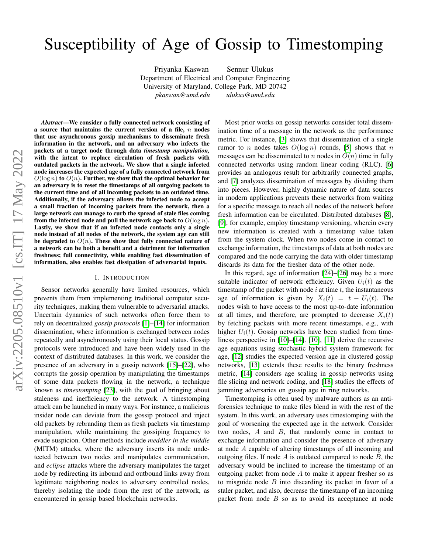# Susceptibility of Age of Gossip to Timestomping

Priyanka Kaswan Sennur Ulukus Department of Electrical and Computer Engineering University of Maryland, College Park, MD 20742 *pkaswan@umd.edu ulukus@umd.edu*

*Abstract*—We consider a fully connected network consisting of a source that maintains the current version of a file,  $n$  nodes that use asynchronous gossip mechanisms to disseminate fresh information in the network, and an adversary who infects the packets at a target node through data *timestamp manipulation,* with the intent to replace circulation of fresh packets with outdated packets in the network. We show that a single infected node increases the expected age of a fully connected network from  $O(\log n)$  to  $O(n)$ . Further, we show that the optimal behavior for an adversary is to reset the timestamps of all outgoing packets to the current time and of all incoming packets to an outdated time. Additionally, if the adversary allows the infected node to accept a small fraction of incoming packets from the network, then a large network can manage to curb the spread of stale files coming from the infected node and pull the network age back to  $O(\log n)$ . Lastly, we show that if an infected node contacts only a single node instead of all nodes of the network, the system age can still be degraded to  $O(n)$ . These show that fully connected nature of a network can be both a benefit and a detriment for information freshness; full connectivity, while enabling fast dissemination of information, also enables fast dissipation of adversarial inputs.

#### I. INTRODUCTION

Sensor networks generally have limited resources, which prevents them from implementing traditional computer security techniques, making them vulnerable to adversarial attacks. Uncertain dynamics of such networks often force them to rely on decentralized *gossip protocols* [\[1\]](#page-5-0)–[\[14\]](#page-5-1) for information dissemination, where information is exchanged between nodes repeatedly and asynchronously using their local status. Gossip protocols were introduced and have been widely used in the context of distributed databases. In this work, we consider the presence of an adversary in a gossip network [\[15\]](#page-5-2)–[\[22\]](#page-5-3), who corrupts the gossip operation by manipulating the timestamps of some data packets flowing in the network, a technique known as *timestomping* [\[23\]](#page-5-4), with the goal of bringing about staleness and inefficiency to the network. A timestomping attack can be launched in many ways. For instance, a malicious insider node can deviate from the gossip protocol and inject old packets by rebranding them as fresh packets via timestamp manipulation, while maintaining the gossiping frequency to evade suspicion. Other methods include *meddler in the middle* (MITM) attacks, where the adversary inserts its node undetected between two nodes and manipulates communication, and *eclipse* attacks where the adversary manipulates the target node by redirecting its inbound and outbound links away from legitimate neighboring nodes to adversary controlled nodes, thereby isolating the node from the rest of the network, as encountered in gossip based blockchain networks.

Most prior works on gossip networks consider total dissemination time of a message in the network as the performance metric. For instance, [\[3\]](#page-5-5) shows that dissemination of a single rumor to *n* nodes takes  $O(\log n)$  rounds, [\[5\]](#page-5-6) shows that *n* messages can be disseminated to n nodes in  $O(n)$  time in fully connected networks using random linear coding (RLC), [\[6\]](#page-5-7) provides an analogous result for arbitrarily connected graphs, and [\[7\]](#page-5-8) analyzes dissemination of messages by dividing them into pieces. However, highly dynamic nature of data sources in modern applications prevents these networks from waiting for a specific message to reach all nodes of the network before fresh information can be circulated. Distributed databases [\[8\]](#page-5-9), [\[9\]](#page-5-10), for example, employ timestamp versioning, wherein every new information is created with a timestamp value taken from the system clock. When two nodes come in contact to exchange information, the timestamps of data at both nodes are compared and the node carrying the data with older timestamp discards its data for the fresher data of the other node.

In this regard, age of information [\[24\]](#page-5-11)–[\[26\]](#page-5-12) may be a more suitable indicator of network efficiency. Given  $U_i(t)$  as the timestamp of the packet with node  $i$  at time  $t$ , the instantaneous age of information is given by  $X_i(t) = t - U_i(t)$ . The nodes wish to have access to the most up-to-date information at all times, and therefore, are prompted to decrease  $X_i(t)$ by fetching packets with more recent timestamps, e.g., with higher  $U_i(t)$ . Gossip networks have been studied from timeliness perspective in [\[10\]](#page-5-13)–[\[14\]](#page-5-1). [\[10\]](#page-5-13), [\[11\]](#page-5-14) derive the recursive age equations using stochastic hybrid system framework for age, [\[12\]](#page-5-15) studies the expected version age in clustered gossip networks, [\[13\]](#page-5-16) extends these results to the binary freshness metric, [\[14\]](#page-5-1) considers age scaling in gossip networks using file slicing and network coding, and [\[18\]](#page-5-17) studies the effects of jamming adversaries on gossip age in ring networks.

Timestomping is often used by malware authors as an antiforensics technique to make files blend in with the rest of the system. In this work, an adversary uses timestomping with the goal of worsening the expected age in the network. Consider two nodes,  $A$  and  $B$ , that randomly come in contact to exchange information and consider the presence of adversary at node A capable of altering timestamps of all incoming and outgoing files. If node  $A$  is outdated compared to node  $B$ , the adversary would be inclined to increase the timestamp of an outgoing packet from node  $A$  to make it appear fresher so as to misguide node  $B$  into discarding its packet in favor of a staler packet, and also, decrease the timestamp of an incoming packet from node  $B$  so as to avoid its acceptance at node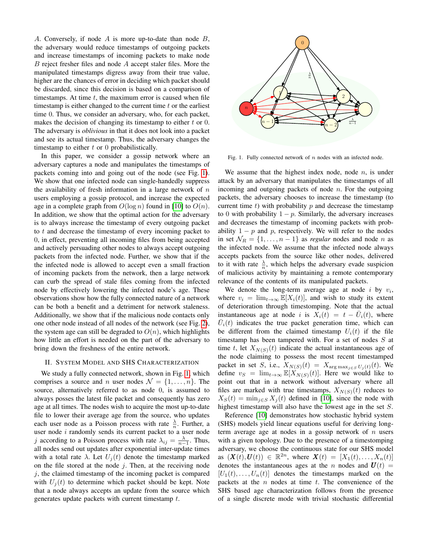A. Conversely, if node  $A$  is more up-to-date than node  $B$ , the adversary would reduce timestamps of outgoing packets and increase timestamps of incoming packets to make node B reject fresher files and node A accept staler files. More the manipulated timestamps digress away from their true value, higher are the chances of error in deciding which packet should be discarded, since this decision is based on a comparison of timestamps. At time  $t$ , the maximum error is caused when file timestamp is either changed to the current time  $t$  or the earliest time 0. Thus, we consider an adversary, who, for each packet, makes the decision of changing its timestamp to either  $t$  or  $0$ . The adversary is *oblivious* in that it does not look into a packet and see its actual timestamp. Thus, the adversary changes the timestamp to either  $t$  or 0 probabilistically.

In this paper, we consider a gossip network where an adversary captures a node and manipulates the timestamps of packets coming into and going out of the node (see Fig. [1\)](#page-1-0). We show that one infected node can single-handedly suppress the availability of fresh information in a large network of  $n$ users employing a gossip protocol, and increase the expected age in a complete graph from  $O(\log n)$  found in [\[10\]](#page-5-13) to  $O(n)$ . In addition, we show that the optimal action for the adversary is to always increase the timestamp of every outgoing packet to  $t$  and decrease the timestamp of every incoming packet to 0, in effect, preventing all incoming files from being accepted and actively persuading other nodes to always accept outgoing packets from the infected node. Further, we show that if the the infected node is allowed to accept even a small fraction of incoming packets from the network, then a large network can curb the spread of stale files coming from the infected node by effectively lowering the infected node's age. These observations show how the fully connected nature of a network can be both a benefit and a detriment for network staleness. Additionally, we show that if the malicious node contacts only one other node instead of all nodes of the network (see Fig. [2\)](#page-3-0), the system age can still be degraded to  $O(n)$ , which highlights how little an effort is needed on the part of the adversary to bring down the freshness of the entire network.

#### II. SYSTEM MODEL AND SHS CHARACTERIZATION

We study a fully connected network, shown in Fig. [1,](#page-1-0) which comprises a source and n user nodes  $\mathcal{N} = \{1, \ldots, n\}$ . The source, alternatively referred to as node 0, is assumed to always posses the latest file packet and consequently has zero age at all times. The nodes wish to acquire the most up-to-date file to lower their average age from the source, who updates each user node as a Poisson process with rate  $\frac{\lambda}{n}$ . Further, a user node  $i$  randomly sends its current packet to a user node j according to a Poisson process with rate  $\lambda_{ij} = \frac{\lambda}{n-1}$ . Thus, all nodes send out updates after exponential inter-update times with a total rate  $\lambda$ . Let  $U_i(t)$  denote the timestamp marked on the file stored at the node  $j$ . Then, at the receiving node  $j$ , the claimed timestamp of the incoming packet is compared with  $U_i(t)$  to determine which packet should be kept. Note that a node always accepts an update from the source which generates update packets with current timestamp t.



<span id="page-1-0"></span>Fig. 1. Fully connected network of  $n$  nodes with an infected node.

We assume that the highest index node, node  $n$ , is under attack by an adversary that manipulates the timestamps of all incoming and outgoing packets of node  $n$ . For the outgoing packets, the adversary chooses to increase the timestamp (to current time  $t$ ) with probability  $p$  and decrease the timestamp to 0 with probability  $1 - p$ . Similarly, the adversary increases and decreases the timestamp of incoming packets with probability  $1 - p$  and p, respectively. We will refer to the nodes in set  $\mathcal{N}_R = \{1, \ldots, n-1\}$  as *regular* nodes and node *n* as the infected node. We assume that the infected node always accepts packets from the source like other nodes, delivered to it with rate  $\frac{\lambda}{n}$ , which helps the adversary evade suspicion of malicious activity by maintaining a remote contemporary relevance of the contents of its manipulated packets.

We denote the long-term average age at node  $i$  by  $v_i$ , where  $v_i = \lim_{t\to\infty} \mathbb{E}[X_i(t)]$ , and wish to study its extent of deterioration through timestomping. Note that the actual instantaneous age at node *i* is  $\overline{X}_i(t) = t - \overline{U}_i(t)$ , where  $\overline{U}_i(t)$  indicates the true packet generation time, which can be different from the claimed timestamp  $U_i(t)$  if the file timestamp has been tampered with. For a set of nodes S at time t, let  $X_{N(S)}(t)$  indicate the actual instantaneous age of the node claiming to possess the most recent timestamped packet in set S, i.e.,  $X_{N(S)}(t) = X_{\arg \max_{j \in S} U_j(t)}(t)$ . We define  $v_S = \lim_{t\to\infty} \mathbb{E}[X_{N(S)}(t)]$ . Here we would like to point out that in a network without adversary where all files are marked with true timestamps,  $X_{N(S)}(t)$  reduces to  $X_S(t) = \min_{i \in S} X_i(t)$  defined in [\[10\]](#page-5-13), since the node with highest timestamp will also have the lowest age in the set S.

Reference [\[10\]](#page-5-13) demonstrates how stochastic hybrid system (SHS) models yield linear equations useful for deriving longterm average age at nodes in a gossip network of  $n$  users with a given topology. Due to the presence of a timestomping adversary, we choose the continuous state for our SHS model as  $(X(t), U(t)) \in \mathbb{R}^{2n}$ , where  $X(t) = [X_1(t), \ldots, X_n(t)]$ denotes the instantaneous ages at the n nodes and  $U(t)$  =  $[U_1(t), \ldots, U_n(t)]$  denotes the timestamps marked on the packets at the  $n$  nodes at time  $t$ . The convenience of the SHS based age characterization follows from the presence of a single discrete mode with trivial stochastic differential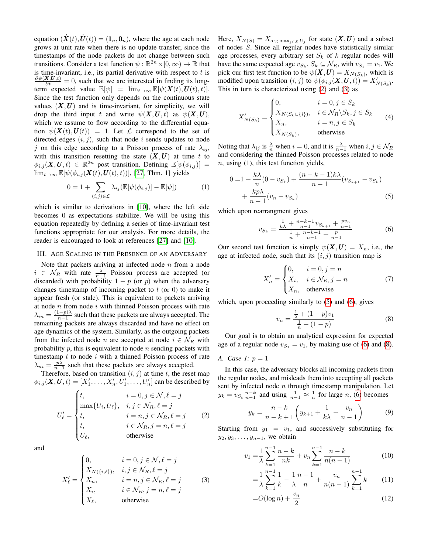equation  $(\dot{\mathbf{X}}(t), \dot{\mathbf{U}}(t)) = (\mathbf{1}_n, \mathbf{0}_n)$ , where the age at each node grows at unit rate when there is no update transfer, since the timestamps of the node packets do not change between such transitions. Consider a test function  $\psi : \mathbb{R}^{2n} \times [0, \infty) \to \mathbb{R}$  that is time-invariant, i.e., its partial derivative with respect to  $t$  is  $\frac{\partial \psi(X,U,t)}{\partial t} = 0$ , such that we are interested in finding its longterm expected value  $\mathbb{E}[\psi] = \lim_{t \to \infty} \mathbb{E}[\psi(\mathbf{X}(t), \mathbf{U}(t), t)].$ Since the test function only depends on the continuous state values  $(X, U)$  and is time-invariant, for simplicity, we will drop the third input t and write  $\psi(X, U, t)$  as  $\psi(X, U)$ , which we assume to flow according to the differential equation  $\psi(\mathbf{X}(t),\mathbf{U}(t)) = 1$ . Let  $\mathcal L$  correspond to the set of directed edges  $(i, j)$ , such that node i sends updates to node j on this edge according to a Poisson process of rate  $\lambda_{ij}$ , with this transition resetting the state  $(X, U)$  at time t to  $\phi_{i,j}(\boldsymbol{X},\boldsymbol{U},t) \in \mathbb{R}^{2n}$  post transition. Defining  $\mathbb{E}[\psi(\phi_{i,j})] =$  $\lim_{t\to\infty} \mathbb{E}[\psi(\phi_{i,j}(\boldsymbol{X}(t),\boldsymbol{U}(t), t))],$  [\[27,](#page-5-18) Thm. 1] yields

$$
0 = 1 + \sum_{(i,j)\in\mathcal{L}} \lambda_{ij} (\mathbb{E}[\psi(\phi_{i,j})] - \mathbb{E}[\psi])
$$
 (1)

which is similar to derivations in [\[10\]](#page-5-13), where the left side becomes 0 as expectations stabilize. We will be using this equation repeatedly by defining a series of time-invariant test functions appropriate for our analysis. For more details, the reader is encouraged to look at references [\[27\]](#page-5-18) and [\[10\]](#page-5-13).

### <span id="page-2-6"></span>III. AGE SCALING IN THE PRESENCE OF AN ADVERSARY

Note that packets arriving at infected node  $n$  from a node  $i \in \mathcal{N}_R$  with rate  $\frac{\lambda}{n-1}$  Poisson process are accepted (or discarded) with probability  $1 - p$  (or p) when the adversary changes timestamp of incoming packet to  $t$  (or 0) to make it appear fresh (or stale). This is equivalent to packets arriving at node  $n$  from node  $i$  with thinned Poisson process with rate  $\lambda_{in} = \frac{(1-p)\lambda}{n-1}$  $\frac{n-p}{n-1}$  such that these packets are always accepted. The remaining packets are always discarded and have no effect on age dynamics of the system. Similarly, as the outgoing packets from the infected node n are accepted at node  $i \in \mathcal{N}_R$  with probability  $p$ , this is equivalent to node  $n$  sending packets with timestamp  $t$  to node  $i$  with a thinned Poisson process of rate  $\lambda_{ni} = \frac{p\lambda}{n-1}$  such that these packets are always accepted.

Therefore, based on transition  $(i, j)$  at time t, the reset map  $\phi_{i,j}(\boldsymbol{X},\boldsymbol{U},t) = [X'_1,\ldots,X'_n,U'_1,\ldots,U'_n]$  can be described by

$$
U'_{\ell} = \begin{cases} t, & i = 0, j \in \mathcal{N}, \ell = j \\ \max\{U_i, U_{\ell}\}, & i, j \in \mathcal{N}_R, \ell = j \\ t, & i = n, j \in \mathcal{N}_R, \ell = j \\ t, & i \in \mathcal{N}_R, j = n, \ell = j \\ U_{\ell}, & \text{otherwise} \end{cases}
$$
(2)

and

$$
X'_{\ell} = \begin{cases} 0, & i = 0, j \in \mathcal{N}, \ell = j \\ X_{N(\{i,\ell\})}, & i, j \in \mathcal{N}_R, \ell = j \\ X_n, & i = n, j \in \mathcal{N}_R, \ell = j \\ X_i, & i \in \mathcal{N}_R, j = n, \ell = j \\ X_{\ell}, & \text{otherwise} \end{cases}
$$
(3)

Here,  $X_{N(S)} = X_{\arg\max_{j \in S} U_j}$  for state  $(\bm{X}, \bm{U})$  and a subset of nodes S. Since all regular nodes have statistically similar age processes, every arbitrary set  $S_k$  of k regular nodes will have the same expected age  $v_{S_k}$ ,  $S_k \subseteq \mathcal{N}_R$ , with  $v_{S_1} = v_1$ . We pick our first test function to be  $\psi(\boldsymbol{X},\boldsymbol{U})=X_{N(S_k)}$ , which is modified upon transition  $(i, j)$  to  $\psi(\phi_{i,j}(\boldsymbol{X}, \boldsymbol{U}, t)) = X'_{N(S_k)}$ . This in turn is characterized using [\(2\)](#page-2-0) and [\(3\)](#page-2-1) as

$$
X'_{N(S_k)} = \begin{cases} 0, & i = 0, j \in S_k \\ X_{N(S_k \cup \{i\})}, & i \in \mathcal{N}_R \setminus S_k, j \in S_k \\ X_n, & i = n, j \in S_k \\ X_{N(S_k)}, & \text{otherwise} \end{cases}
$$
(4)

Noting that  $\lambda_{ij}$  is  $\frac{\lambda}{n}$  when  $i = 0$ , and it is  $\frac{\lambda}{n-1}$  when  $i, j \in \mathcal{N}_R$ and considering the thinned Poisson processes related to node  $n$ , using (1), this test function yields,

<span id="page-2-5"></span>
$$
0 = 1 + \frac{k\lambda}{n}(0 - v_{S_k}) + \frac{(n - k - 1)k\lambda}{n - 1}(v_{S_{k+1}} - v_{S_k}) + \frac{kp\lambda}{n - 1}(v_n - v_{S_k})
$$
\n(5)

which upon rearrangment gives

<span id="page-2-3"></span><span id="page-2-2"></span>
$$
v_{S_k} = \frac{\frac{1}{k\lambda} + \frac{n-k-1}{n-1}v_{S_{k+1}} + \frac{pv_n}{n-1}}{\frac{1}{n} + \frac{n-k-1}{n-1} + \frac{p}{n-1}}
$$
(6)

Our second test function is simply  $\psi(\mathbf{X}, \mathbf{U}) = X_n$ , i.e., the age at infected node, such that its  $(i, j)$  transition map is

$$
X'_{n} = \begin{cases} 0, & i = 0, j = n \\ X_{i}, & i \in \mathcal{N}_{R}, j = n \\ X_{n}, & \text{otherwise} \end{cases}
$$
 (7)

which, upon proceeding similarly to  $(5)$  and  $(6)$ , gives

<span id="page-2-4"></span>
$$
v_n = \frac{\frac{1}{\lambda} + (1 - p)v_1}{\frac{1}{n} + (1 - p)}
$$
 (8)

Our goal is to obtain an analytical expression for expected age of a regular node  $v_{S_1} = v_1$ , by making use of [\(6\)](#page-2-3) and [\(8\)](#page-2-4).

#### *A. Case 1:* p = 1

In this case, the adversary blocks all incoming packets from the regular nodes, and misleads them into accepting all packets sent by infected node  $n$  through timestamp manipulation. Let  $y_k = v_{S_k} \frac{n-k}{n-1}$  and using  $\frac{1}{n-1} \approx \frac{1}{n}$  for large *n*, [\(6\)](#page-2-3) becomes

$$
y_k = \frac{n-k}{n-k+1} \left( y_{k+1} + \frac{1}{k\lambda} + \frac{v_n}{n-1} \right)
$$
(9)

<span id="page-2-1"></span><span id="page-2-0"></span>Starting from  $y_1 = v_1$ , and successively substituting for  $y_2, y_3, \ldots, y_{n-1}$ , we obtain

$$
v_1 = \frac{1}{\lambda} \sum_{k=1}^{n-1} \frac{n-k}{nk} + v_n \sum_{k=1}^{n-1} \frac{n-k}{n(n-1)}
$$
(10)

$$
= \frac{1}{\lambda} \sum_{k=1}^{n-1} \frac{1}{k} - \frac{1}{\lambda} \frac{n-1}{n} + \frac{v_n}{n(n-1)} \sum_{k=1}^{n-1} k \tag{11}
$$

<span id="page-2-7"></span>
$$
=O(\log n) + \frac{v_n}{2} \tag{12}
$$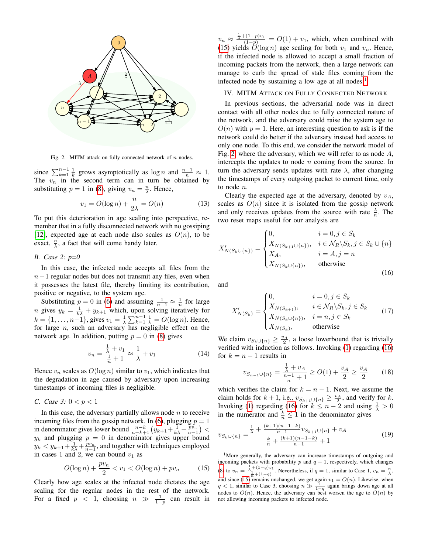

<span id="page-3-0"></span>Fig. 2. MITM attack on fully connected network of  $n$  nodes.

since  $\sum_{k=1}^{n-1} \frac{1}{k}$  grows asymptotically as  $\log n$  and  $\frac{n-1}{n} \approx 1$ . The  $v_n$  in the second term can in turn be obtained by substituting  $p = 1$  in [\(8\)](#page-2-4), giving  $v_n = \frac{n}{\lambda}$ . Hence,

$$
v_1 = O(\log n) + \frac{n}{2\lambda} = O(n) \tag{13}
$$

To put this deterioration in age scaling into perspective, remember that in a fully disconnected network with no gossiping [\[12\]](#page-5-15), expected age at each node also scales as  $O(n)$ , to be exact,  $\frac{n}{\lambda}$ , a fact that will come handy later.

*B. Case 2: p=0*

In this case, the infected node accepts all files from the  $n-1$  regular nodes but does not transmit any files, even when it possesses the latest file, thereby limiting its contribution, positive or negative, to the system age.

Substituting  $p = 0$  in [\(6\)](#page-2-3) and assuming  $\frac{1}{n-1} \approx \frac{1}{n}$  for large *n* gives  $y_k = \frac{1}{k\lambda} + y_{k+1}$  which, upon solving iteratively for  $k = \{1, \ldots, n-1\}$ , gives  $v_1 = \frac{1}{\lambda} \sum_{k=1}^{n-1} \frac{1}{k} = O(\log n)$ . Hence, for large *n*, such an adversary has negligible effect on the network age. In addition, putting  $p = 0$  in [\(8\)](#page-2-4) gives

$$
v_n = \frac{\frac{1}{\lambda} + v_1}{\frac{1}{n} + 1} \approx \frac{1}{\lambda} + v_1 \tag{14}
$$

Hence  $v_n$  scales as  $O(\log n)$  similar to  $v_1$ , which indicates that the degradation in age caused by adversary upon increasing timestamps of incoming files is negligible.

*C. Case 3:* 0 < p < 1

In this case, the adversary partially allows node  $n$  to receive incoming files from the gossip network. In [\(6\)](#page-2-3), plugging  $p = 1$ in denominator gives lower bound  $\frac{n-k}{n-k+1}(y_{k+1}+\frac{1}{k\lambda}+ \frac{pv_n}{n-1})$  <  $y_k$  and plugging  $p = 0$  in denominator gives upper bound  $y_k < y_{k+1} + \frac{1}{k\lambda} + \frac{pv_n}{n-1}$ , and together with techniques employed in cases 1 and 2, we can bound  $v_1$  as

$$
O(\log n) + \frac{pv_n}{2} < v_1 < O(\log n) + pv_n \tag{15}
$$

Clearly how age scales at the infected node dictates the age scaling for the regular nodes in the rest of the network. For a fixed  $p \leq 1$ , choosing  $n \gg \frac{1}{1-p}$  can result in

 $v_n \approx \frac{\frac{1}{\lambda} + (1-p)v_1}{(1-p)} = O(1) + v_1$ , which, when combined with [\(15\)](#page-3-1) yields  $O(\log n)$  age scaling for both  $v_1$  and  $v_n$ . Hence, if the infected node is allowed to accept a small fraction of incoming packets from the network, then a large network can manage to curb the spread of stale files coming from the infected node by sustaining a low age at all nodes.<sup>[1](#page-3-2)</sup>

## IV. MITM ATTACK ON FULLY CONNECTED NETWORK

In previous sections, the adversarial node was in direct contact with all other nodes due to fully connected nature of the network, and the adversary could raise the system age to  $O(n)$  with  $p = 1$ . Here, an interesting question to ask is if the network could do better if the adversary instead had access to only one node. To this end, we consider the network model of Fig. [2,](#page-3-0) where the adversary, which we will refer to as node  $A$ , intercepts the updates to node  $n$  coming from the source. In turn the adversary sends updates with rate  $\lambda$ , after changing the timestamps of every outgoing packet to current time, only to node n.

<span id="page-3-5"></span>Clearly the expected age at the adversary, denoted by  $v_A$ , scales as  $O(n)$  since it is isolated from the gossip network and only receives updates from the source with rate  $\frac{\lambda}{n}$ . The two reset maps useful for our analysis are

$$
X'_{N(S_k \cup \{n\})} = \begin{cases} 0, & i = 0, j \in S_k \\ X_{N(S_{k+1} \cup \{n\})}, & i \in \mathcal{N}_R \setminus S_k, j \in S_k \cup \{n\} \\ X_A, & i = A, j = n \\ X_{N(S_k \cup \{n\})}, & \text{otherwise} \end{cases}
$$
(16)

and

<span id="page-3-3"></span>
$$
X'_{N(S_k)} = \begin{cases} 0, & i = 0, j \in S_k \\ X_{N(S_{k+1})}, & i \in \mathcal{N}_R \backslash S_k, j \in S_k \\ X_{N(S_k \cup \{n\})}, & i = n, j \in S_k \\ X_{N(S_k)}, & \text{otherwise} \end{cases}
$$
(17)

<span id="page-3-6"></span>We claim  $v_{S_k \cup \{n\}} \geq \frac{v_A}{2}$ , a loose lowerbound that is trivially verified with induction as follows. Invoking [\(1\)](#page-2-5) regarding [\(16\)](#page-3-3) for  $k = n - 1$  results in

<span id="page-3-7"></span><span id="page-3-4"></span>
$$
v_{S_{n-1}\cup\{n\}} = \frac{\frac{1}{\lambda} + v_A}{\frac{n-1}{n} + 1} \ge O(1) + \frac{v_A}{2} \ge \frac{v_A}{2}
$$
 (18)

which verifies the claim for  $k = n - 1$ . Next, we assume the claim holds for  $k + 1$ , i.e.,  $v_{S_{k+1} \cup \{n\}} \geq \frac{v_A}{2}$ , and verify for k. Invoking [\(1\)](#page-2-5) regarding [\(16\)](#page-3-3) for  $k \leq n-2$  and using  $\frac{1}{\lambda} > 0$ in the numerator and  $\frac{k}{n} \leq 1$  in the denominator gives

$$
v_{S_k \cup \{n\}} = \frac{\frac{1}{\lambda} + \frac{(k+1)(n-1-k)}{n-1} v_{S_{k+1} \cup \{n\}} + v_A}{\frac{k}{n} + \frac{(k+1)(n-1-k)}{n-1} + 1} \tag{19}
$$

<span id="page-3-2"></span><span id="page-3-1"></span><sup>1</sup>More generally, the adversary can increase timestamps of outgoing and incoming packets with probability  $p$  and  $q - 1$ , respectively, which changes [\(8\)](#page-2-4) to  $v_n = \frac{\frac{1}{\lambda} + (1-q)v_1}{\frac{1}{n} + (1-q)}$ . Nevertheless, if  $q = 1$ , similar to Case 1,  $v_n = \frac{n}{\lambda}$ , and since [\(15\)](#page-3-1) remains unchanged, we get again  $v_1 = O(n)$ . Likewise, when  $q < 1$ , similar to Case 3, choosing  $n \gg \frac{1}{1-q}$  again brings down age at all nodes to  $O(n)$ . Hence, the adversary can best worsen the age to  $O(n)$  by not allowing incoming packets to infected node.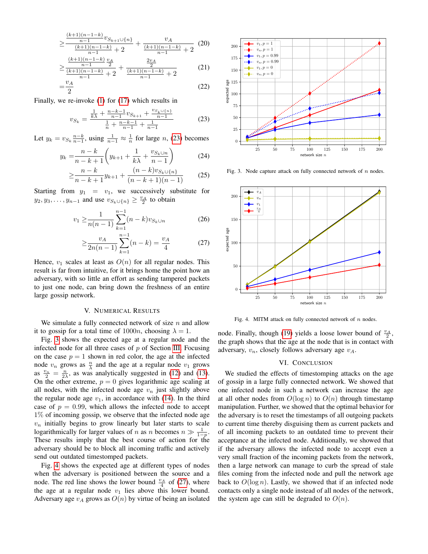$$
\geq \frac{\frac{(k+1)(n-1-k)}{n-1}v_{S_{k+1}\cup\{n\}}}{\frac{(k+1)(n-1-k)}{n-1}+2} + \frac{v_A}{\frac{(k+1)(n-1-k)}{n-1}+2} (20)
$$
\n
$$
\frac{(k+1)(n-1-k)}{n}v_A \qquad \qquad \frac{2v_A}{n}
$$

$$
\geq \frac{\frac{n-1}{(k+1)(n-1-k)}+2}{\frac{(k+1)(n-1-k)}{n-1}+2}+\frac{\frac{2n}{2}}{(k+1)(n-1-k)}+2
$$
 (21)

$$
=\frac{v_A}{2} \tag{22}
$$

Finally, we re-invoke [\(1\)](#page-2-5) for [\(17\)](#page-3-4) which results in

$$
v_{S_k} = \frac{\frac{1}{k\lambda} + \frac{n-k-1}{n-1}v_{S_{k+1}} + \frac{v_{S_k \cup \{n\}}}{n-1}}{\frac{1}{n} + \frac{n-k-1}{n-1} + \frac{1}{n-1}}
$$
(23)

Let  $y_k = v_{S_k} \frac{n-k}{n-1}$ , using  $\frac{1}{n-1} \approx \frac{1}{n}$  for large n, [\(23\)](#page-4-0) becomes

$$
y_k = \frac{n-k}{n-k+1} \left( y_{k+1} + \frac{1}{k\lambda} + \frac{v_{S_k \cup n}}{n-1} \right)
$$
 (24)

$$
\geq \frac{n-k}{n-k+1}y_{k+1} + \frac{(n-k)v_{S_k \cup \{n\}}}{(n-k+1)(n-1)}
$$
(25)

Starting from  $y_1 = v_1$ , we successively substitute for  $y_2, y_3, \ldots, y_{n-1}$  and use  $v_{S_k \cup \{n\}} \geq \frac{v_A}{2}$  to obtain

$$
v_1 \ge \frac{1}{n(n-1)} \sum_{k=1}^{n-1} (n-k) v_{S_k \cup n}
$$
 (26)

$$
\geq \frac{v_A}{2n(n-1)} \sum_{k=1}^{n-1} (n-k) = \frac{v_A}{4}
$$
 (27)

Hence,  $v_1$  scales at least as  $O(n)$  for all regular nodes. This result is far from intuitive, for it brings home the point how an adversary, with so little an effort as sending tampered packets to just one node, can bring down the freshness of an entire large gossip network.

#### V. NUMERICAL RESULTS

We simulate a fully connected network of size  $n$  and allow it to gossip for a total time of  $1000n$ , choosing  $\lambda = 1$ .

Fig. [3](#page-4-1) shows the expected age at a regular node and the infected node for all three cases of  $p$  of Section [III.](#page-2-6) Focusing on the case  $p = 1$  shown in red color, the age at the infected node  $v_n$  grows as  $\frac{n}{\lambda}$  and the age at a regular node  $v_1$  grows as  $\frac{v_n}{2} = \frac{n}{2\lambda}$ , as was analytically suggested in [\(12\)](#page-2-7) and [\(13\)](#page-3-5). On the other extreme,  $p = 0$  gives logarithmic age scaling at all nodes, with the infected node age  $v_n$  just slightly above the regular node age  $v_1$ , in accordance with [\(14\)](#page-3-6). In the third case of  $p = 0.99$ , which allows the infected node to accept 1% of incoming gossip, we observe that the infected node age  $v_n$  initially begins to grow linearly but later starts to scale logarithmically for larger values of *n* as *n* becomes  $n \gg \frac{1}{1-p}$ . These results imply that the best course of action for the adversary should be to block all incoming traffic and actively send out outdated timestomped packets.

Fig. [4](#page-4-2) shows the expected age at different types of nodes when the adversary is positioned between the source and a node. The red line shows the lower bound  $\frac{v_A}{4}$  of [\(27\)](#page-4-3), where the age at a regular node  $v_1$  lies above this lower bound. Adversary age  $v_A$  grows as  $O(n)$  by virtue of being an isolated



<span id="page-4-1"></span><span id="page-4-0"></span>Fig. 3. Node capture attack on fully connected network of  $n$  nodes.

<span id="page-4-3"></span>

<span id="page-4-2"></span>Fig. 4. MITM attack on fully connected network of  $n$  nodes.

node. Finally, though [\(19\)](#page-3-7) yields a loose lower bound of  $\frac{v_A}{2}$ , the graph shows that the age at the node that is in contact with adversary,  $v_n$ , closely follows adversary age  $v_A$ .

#### VI. CONCLUSION

We studied the effects of timestomping attacks on the age of gossip in a large fully connected network. We showed that one infected node in such a network can increase the age at all other nodes from  $O(\log n)$  to  $O(n)$  through timestamp manipulation. Further, we showed that the optimal behavior for the adversary is to reset the timestamps of all outgoing packets to current time thereby disguising them as current packets and of all incoming packets to an outdated time to prevent their acceptance at the infected node. Additionally, we showed that if the adversary allows the infected node to accept even a very small fraction of the incoming packets from the network, then a large network can manage to curb the spread of stale files coming from the infected node and pull the network age back to  $O(\log n)$ . Lastly, we showed that if an infected node contacts only a single node instead of all nodes of the network, the system age can still be degraded to  $O(n)$ .